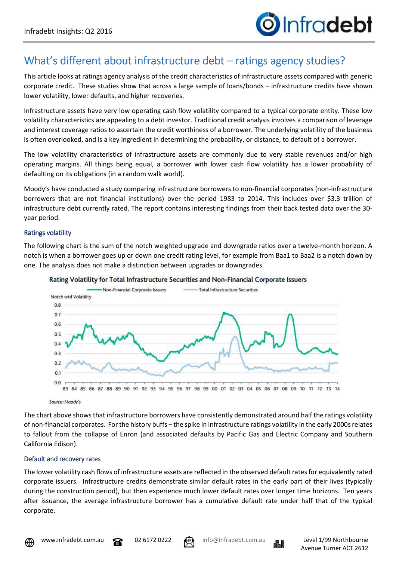# What's different about infrastructure debt – ratings agency studies?

This article looks at ratings agency analysis of the credit characteristics of infrastructure assets compared with generic corporate credit. These studies show that across a large sample of loans/bonds – infrastructure credits have shown lower volatility, lower defaults, and higher recoveries.

Infrastructure assets have very low operating cash flow volatility compared to a typical corporate entity. These low volatility characteristics are appealing to a debt investor. Traditional credit analysis involves a comparison of leverage and interest coverage ratios to ascertain the credit worthiness of a borrower. The underlying volatility of the business is often overlooked, and is a key ingredient in determining the probability, or distance, to default of a borrower.

The low volatility characteristics of infrastructure assets are commonly due to very stable revenues and/or high operating margins. All things being equal, a borrower with lower cash flow volatility has a lower probability of defaulting on its obligations (in a random walk world).

Moody's have conducted a study comparing infrastructure borrowers to non-financial corporates (non-infrastructure borrowers that are not financial institutions) over the period 1983 to 2014. This includes over \$3.3 trillion of infrastructure debt currently rated. The report contains interesting findings from their back tested data over the 30 year period.

#### **Ratings volatility**

The following chart is the sum of the notch weighted upgrade and downgrade ratios over a twelve-month horizon. A notch is when a borrower goes up or down one credit rating level, for example from Baa1 to Baa2 is a notch down by one. The analysis does not make a distinction between upgrades or downgrades.





Source: Moody's

The chart above shows that infrastructure borrowers have consistently demonstrated around half the ratings volatility of non-financial corporates. For the history buffs – the spike in infrastructure ratings volatility in the early 2000s relates to fallout from the collapse of Enron (and associated defaults by Pacific Gas and Electric Company and Southern California Edison).

#### Default and recovery rates

The lower volatility cash flows of infrastructure assets are reflected in the observed default rates for equivalently rated corporate issuers. Infrastructure credits demonstrate similar default rates in the early part of their lives (typically during the construction period), but then experience much lower default rates over longer time horizons. Ten years after issuance, the average infrastructure borrower has a cumulative default rate under half that of the typical corporate.